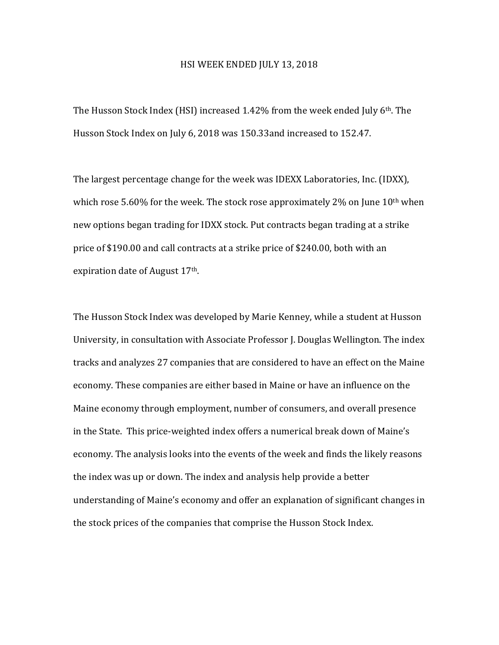## HSI WEEK ENDED JULY 13, 2018

The Husson Stock Index (HSI) increased  $1.42\%$  from the week ended July 6<sup>th</sup>. The Husson Stock Index on July 6, 2018 was 150.33and increased to 152.47.

The largest percentage change for the week was IDEXX Laboratories, Inc. (IDXX), which rose 5.60% for the week. The stock rose approximately 2% on June  $10^{th}$  when new options began trading for IDXX stock. Put contracts began trading at a strike price of \$190.00 and call contracts at a strike price of \$240.00, both with an expiration date of August 17<sup>th</sup>.

The Husson Stock Index was developed by Marie Kenney, while a student at Husson University, in consultation with Associate Professor J. Douglas Wellington. The index tracks and analyzes 27 companies that are considered to have an effect on the Maine economy. These companies are either based in Maine or have an influence on the Maine economy through employment, number of consumers, and overall presence in the State. This price-weighted index offers a numerical break down of Maine's economy. The analysis looks into the events of the week and finds the likely reasons the index was up or down. The index and analysis help provide a better understanding of Maine's economy and offer an explanation of significant changes in the stock prices of the companies that comprise the Husson Stock Index.